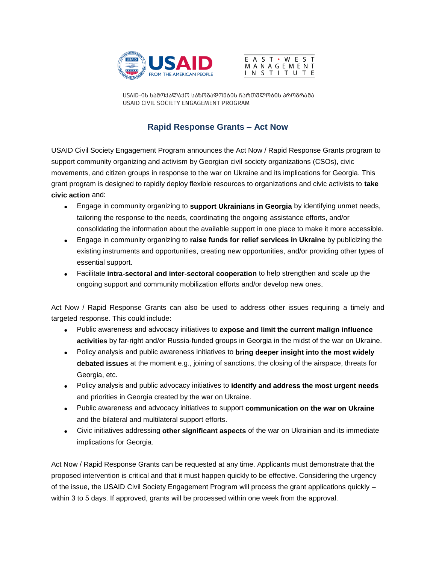



USAID-ᲘᲡ ᲡᲐᲛᲝᲥᲐᲚᲐᲥᲝ ᲡᲐᲖᲝᲒᲐᲓᲝᲔᲑᲘᲡ ᲩᲐᲠᲗᲣᲚᲝᲑᲘᲡ ᲞᲠᲝᲒᲠᲐᲛᲐ USAID CIVIL SOCIETY ENGAGEMENT PROGRAM

## **Rapid Response Grants – Act Now**

USAID Civil Society Engagement Program announces the Act Now / Rapid Response Grants program to support community organizing and activism by Georgian civil society organizations (CSOs), civic movements, and citizen groups in response to the war on Ukraine and its implications for Georgia. This grant program is designed to rapidly deploy flexible resources to organizations and civic activists to **take civic action** and:

- Engage in community organizing to **support Ukrainians in Georgia** by identifying unmet needs, tailoring the response to the needs, coordinating the ongoing assistance efforts, and/or consolidating the information about the available support in one place to make it more accessible.
- Engage in community organizing to **raise funds for relief services in Ukraine** by publicizing the existing instruments and opportunities, creating new opportunities, and/or providing other types of essential support.
- Facilitate **intra-sectoral and inter-sectoral cooperation** to help strengthen and scale up the ongoing support and community mobilization efforts and/or develop new ones.

Act Now / Rapid Response Grants can also be used to address other issues requiring a timely and targeted response. This could include:

- Public awareness and advocacy initiatives to **expose and limit the current malign influence activities** by far-right and/or Russia-funded groups in Georgia in the midst of the war on Ukraine.
- Policy analysis and public awareness initiatives to **bring deeper insight into the most widely debated issues** at the moment e.g., joining of sanctions, the closing of the airspace, threats for Georgia, etc.
- Policy analysis and public advocacy initiatives to **identify and address the most urgent needs** and priorities in Georgia created by the war on Ukraine.
- Public awareness and advocacy initiatives to support **communication on the war on Ukraine** and the bilateral and multilateral support efforts.
- Civic initiatives addressing **other significant aspects** of the war on Ukrainian and its immediate implications for Georgia.

Act Now / Rapid Response Grants can be requested at any time. Applicants must demonstrate that the proposed intervention is critical and that it must happen quickly to be effective. Considering the urgency of the issue, the USAID Civil Society Engagement Program will process the grant applications quickly – within 3 to 5 days. If approved, grants will be processed within one week from the approval.